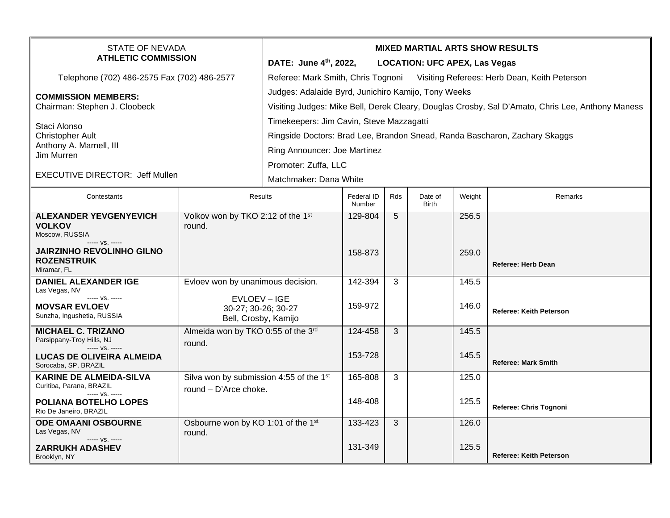| <b>STATE OF NEVADA</b><br><b>ATHLETIC COMMISSION</b>                      |                                                           | <b>MIXED MARTIAL ARTS SHOW RESULTS</b>                                                           |                      |     |                         |        |                                |  |  |
|---------------------------------------------------------------------------|-----------------------------------------------------------|--------------------------------------------------------------------------------------------------|----------------------|-----|-------------------------|--------|--------------------------------|--|--|
|                                                                           |                                                           | DATE: June 4th, 2022,<br><b>LOCATION: UFC APEX, Las Vegas</b>                                    |                      |     |                         |        |                                |  |  |
| Telephone (702) 486-2575 Fax (702) 486-2577                               |                                                           | Referee: Mark Smith, Chris Tognoni Visiting Referees: Herb Dean, Keith Peterson                  |                      |     |                         |        |                                |  |  |
| <b>COMMISSION MEMBERS:</b>                                                |                                                           | Judges: Adalaide Byrd, Junichiro Kamijo, Tony Weeks                                              |                      |     |                         |        |                                |  |  |
| Chairman: Stephen J. Cloobeck                                             |                                                           | Visiting Judges: Mike Bell, Derek Cleary, Douglas Crosby, Sal D'Amato, Chris Lee, Anthony Maness |                      |     |                         |        |                                |  |  |
| Staci Alonso<br><b>Christopher Ault</b>                                   |                                                           | Timekeepers: Jim Cavin, Steve Mazzagatti                                                         |                      |     |                         |        |                                |  |  |
|                                                                           |                                                           | Ringside Doctors: Brad Lee, Brandon Snead, Randa Bascharon, Zachary Skaggs                       |                      |     |                         |        |                                |  |  |
| Anthony A. Marnell, III<br>Jim Murren                                     |                                                           | Ring Announcer: Joe Martinez                                                                     |                      |     |                         |        |                                |  |  |
|                                                                           |                                                           | Promoter: Zuffa, LLC                                                                             |                      |     |                         |        |                                |  |  |
| <b>EXECUTIVE DIRECTOR: Jeff Mullen</b>                                    |                                                           | Matchmaker: Dana White                                                                           |                      |     |                         |        |                                |  |  |
| Contestants                                                               | <b>Results</b>                                            |                                                                                                  | Federal ID<br>Number | Rds | Date of<br><b>Birth</b> | Weight | Remarks                        |  |  |
| <b>ALEXANDER YEVGENYEVICH</b><br><b>VOLKOV</b>                            | Volkov won by TKO 2:12 of the 1st<br>round.               |                                                                                                  | 129-804              | 5   |                         | 256.5  |                                |  |  |
| Moscow, RUSSIA<br>----- VS. -----                                         |                                                           |                                                                                                  |                      |     |                         |        |                                |  |  |
| <b>JAIRZINHO REVOLINHO GILNO</b><br><b>ROZENSTRUIK</b>                    |                                                           |                                                                                                  | 158-873              |     |                         | 259.0  |                                |  |  |
| Miramar, FL                                                               |                                                           |                                                                                                  |                      |     |                         |        | <b>Referee: Herb Dean</b>      |  |  |
| <b>DANIEL ALEXANDER IGE</b><br>Las Vegas, NV                              | Evloev won by unanimous decision.                         |                                                                                                  | 142-394              | 3   |                         | 145.5  |                                |  |  |
| ----- VS. -----<br><b>MOVSAR EVLOEV</b><br>Sunzha, Ingushetia, RUSSIA     | EVLOEV-IGE<br>30-27; 30-26; 30-27<br>Bell, Crosby, Kamijo |                                                                                                  | 159-972              |     |                         | 146.0  | <b>Referee: Keith Peterson</b> |  |  |
| <b>MICHAEL C. TRIZANO</b><br>Parsippany-Troy Hills, NJ                    | Almeida won by TKO 0:55 of the 3rd<br>round.              |                                                                                                  | 124-458              | 3   |                         | 145.5  |                                |  |  |
| $--- VS. ---$<br><b>LUCAS DE OLIVEIRA ALMEIDA</b><br>Sorocaba, SP, BRAZIL |                                                           |                                                                                                  | 153-728              |     |                         | 145.5  | <b>Referee: Mark Smith</b>     |  |  |
| <b>KARINE DE ALMEIDA-SILVA</b><br>Curitiba, Parana, BRAZIL                | Silva won by submission 4:55 of the 1st                   |                                                                                                  | 165-808              | 3   |                         | 125.0  |                                |  |  |
| ----- VS. -----<br><b>POLIANA BOTELHO LOPES</b><br>Rio De Janeiro, BRAZIL | round - D'Arce choke.                                     |                                                                                                  | 148-408              |     |                         | 125.5  | Referee: Chris Tognoni         |  |  |
| <b>ODE OMAANI OSBOURNE</b><br>Las Vegas, NV                               | Osbourne won by KO 1:01 of the 1st<br>round.              |                                                                                                  | 133-423              | 3   |                         | 126.0  |                                |  |  |
| ----- VS. -----<br><b>ZARRUKH ADASHEV</b><br>Brooklyn, NY                 |                                                           |                                                                                                  | 131-349              |     |                         | 125.5  | <b>Referee: Keith Peterson</b> |  |  |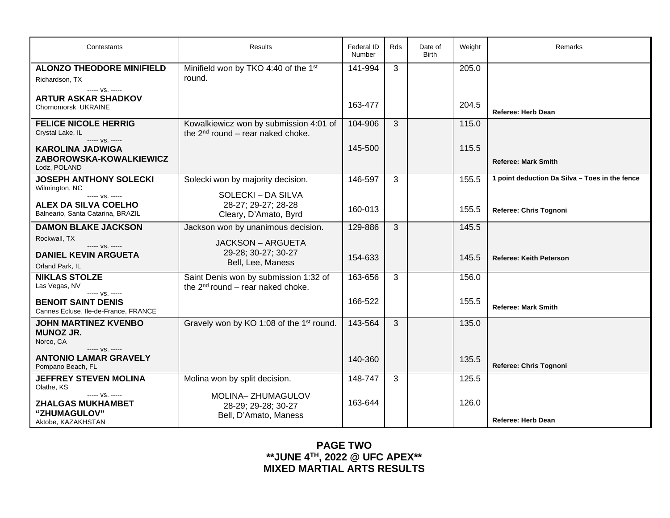| Contestants                                                                          | <b>Results</b>                                                                   | Federal ID<br>Number | Rds | Date of<br><b>Birth</b> | Weight | Remarks                                        |
|--------------------------------------------------------------------------------------|----------------------------------------------------------------------------------|----------------------|-----|-------------------------|--------|------------------------------------------------|
| <b>ALONZO THEODORE MINIFIELD</b><br>Richardson, TX<br>----- VS. -----                | Minifield won by TKO 4:40 of the 1st<br>round.                                   | 141-994              | 3   |                         | 205.0  |                                                |
| <b>ARTUR ASKAR SHADKOV</b><br>Chornomorsk, UKRAINE                                   |                                                                                  | 163-477              |     |                         | 204.5  | <b>Referee: Herb Dean</b>                      |
| <b>FELICE NICOLE HERRIG</b><br>Crystal Lake, IL<br>----- VS. -----                   | Kowalkiewicz won by submission 4:01 of<br>the $2^{nd}$ round – rear naked choke. | 104-906              | 3   |                         | 115.0  |                                                |
| <b>KAROLINA JADWIGA</b><br>ZABOROWSKA-KOWALKIEWICZ<br>Lodz. POLAND                   |                                                                                  | 145-500              |     |                         | 115.5  | <b>Referee: Mark Smith</b>                     |
| <b>JOSEPH ANTHONY SOLECKI</b><br>Wilmington, NC                                      | Solecki won by majority decision.                                                | 146-597              | 3   |                         | 155.5  | 1 point deduction Da Silva - Toes in the fence |
| ----- VS. -----<br><b>ALEX DA SILVA COELHO</b><br>Balneario, Santa Catarina, BRAZIL  | SOLECKI - DA SILVA<br>28-27; 29-27; 28-28<br>Cleary, D'Amato, Byrd               | 160-013              |     |                         | 155.5  | Referee: Chris Tognoni                         |
| <b>DAMON BLAKE JACKSON</b>                                                           | Jackson won by unanimous decision.                                               | 129-886              | 3   |                         | 145.5  |                                                |
| Rockwall, TX<br>$--- VS. ---$<br><b>DANIEL KEVIN ARGUETA</b><br>Orland Park, IL      | <b>JACKSON - ARGUETA</b><br>29-28; 30-27; 30-27<br>Bell, Lee, Maness             | 154-633              |     |                         | 145.5  | <b>Referee: Keith Peterson</b>                 |
| <b>NIKLAS STOLZE</b><br>Las Vegas, NV                                                | Saint Denis won by submission 1:32 of<br>the $2^{nd}$ round – rear naked choke.  | 163-656              | 3   |                         | 156.0  |                                                |
| ----- VS. -----<br><b>BENOIT SAINT DENIS</b><br>Cannes Ecluse, Ile-de-France, FRANCE |                                                                                  | 166-522              |     |                         | 155.5  | <b>Referee: Mark Smith</b>                     |
| <b>JOHN MARTINEZ KVENBO</b><br><b>MUNOZ JR.</b><br>Norco, CA                         | Gravely won by KO 1:08 of the 1 <sup>st</sup> round.                             | 143-564              | 3   |                         | 135.0  |                                                |
| ----- VS. -----<br><b>ANTONIO LAMAR GRAVELY</b><br>Pompano Beach, FL                 |                                                                                  | 140-360              |     |                         | 135.5  | Referee: Chris Tognoni                         |
| <b>JEFFREY STEVEN MOLINA</b><br>Olathe, KS                                           | Molina won by split decision.                                                    | 148-747              | 3   |                         | 125.5  |                                                |
| ----- VS. -----<br><b>ZHALGAS MUKHAMBET</b><br>"ZHUMAGULOV"<br>Aktobe, KAZAKHSTAN    | MOLINA-ZHUMAGULOV<br>28-29; 29-28; 30-27<br>Bell, D'Amato, Maness                | 163-644              |     |                         | 126.0  | <b>Referee: Herb Dean</b>                      |

**PAGE TWO \*\*JUNE 4TH, 2022 @ UFC APEX\*\* MIXED MARTIAL ARTS RESULTS**